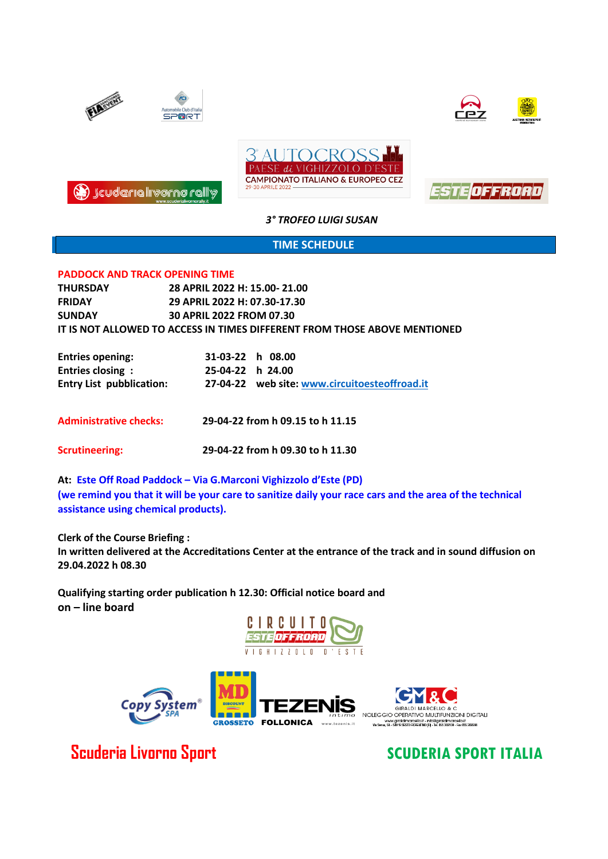

# **TIME SCHEDULE**

### **PADDOCK AND TRACK OPENING TIME**

| <b>THURSDAY</b> | 28 APRIL 2022 H: 15.00- 21.00                                                    |
|-----------------|----------------------------------------------------------------------------------|
| <b>FRIDAY</b>   | 29 APRIL 2022 H: 07.30-17.30                                                     |
| <b>SUNDAY</b>   | <b>30 APRIL 2022 FROM 07.30</b>                                                  |
|                 | <u>IT IS NOT ALLOWED TO ACCESS IN TIMES DIFFERENT FROM THOSE ABOVE MENTIONED</u> |

| <b>Entries opening:</b>         | 31-03-22 h 08.00 |                                               |
|---------------------------------|------------------|-----------------------------------------------|
| Entries closing:                | 25-04-22 h 24.00 |                                               |
| <b>Entry List pubblication:</b> |                  | 27-04-22 web site: www.circuitoesteoffroad.it |

**Administrative checks: 29-04-22 from h 09.15 to h 11.15**

**Scrutineering: 29-04-22 from h 09.30 to h 11.30**

**At: Este Off Road Paddock – Via G.Marconi Vighizzolo d'Este (PD) (we remind you that it will be your care to sanitize daily your race cars and the area of the technical assistance using chemical products).**

**Clerk of the Course Briefing :**

**In written delivered at the Accreditations Center at the entrance of the track and in sound diffusion on 29.04.2022 h 08.30**

**Qualifying starting order publication h 12.30: Official notice board and on – line board**





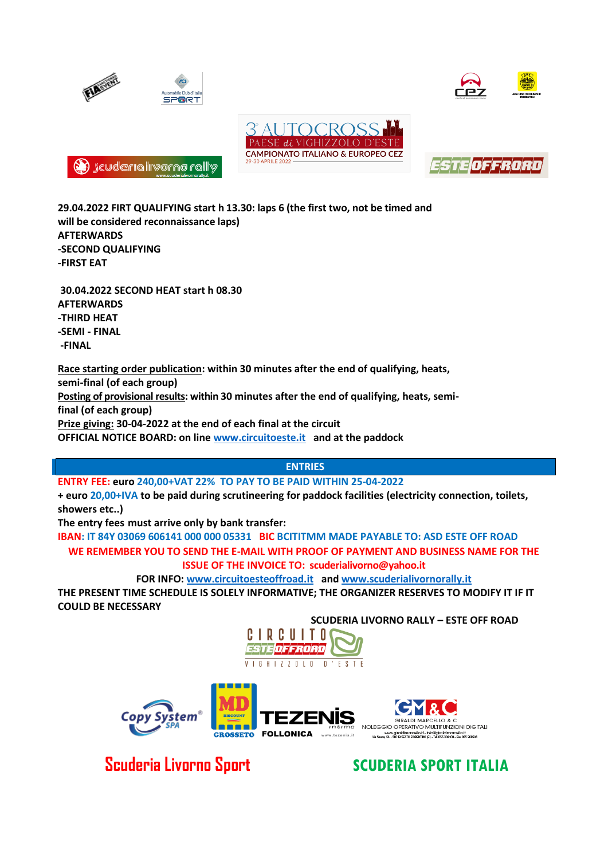







**(2)** Jeuderia liverno rally

**29.04.2022 FIRT QUALIFYING start h 13.30: laps 6 (the first two, not be timed and will be considered reconnaissance laps) AFTERWARDS -SECOND QUALIFYING -FIRST EAT**

**30.04.2022 SECOND HEAT start h 08.30 AFTERWARDS -THIRD HEAT -SEMI - FINAL -FINAL**

**Race starting order publication: within 30 minutes after the end of qualifying, heats,** 

**semi-final (of each group)**

**Posting of provisional results: within 30 minutes after the end of qualifying, heats, semifinal (of each group)**

**Prize giving: 30-04-2022 at the end of each final at the circuit**

**OFFICIAL NOTICE BOARD: on line [www.circuitoeste.it](http://www.circuitoeste.it/) and at the paddock**

# **ENTRIES**

**ENTRY FEE: euro 240,00+VAT 22% TO PAY TO BE PAID WITHIN 25-04-2022**

**+ euro 20,00+IVA to be paid during scrutineering for paddock facilities (electricity connection, toilets, showers etc..)**

**The entry fees must arrive only by bank transfer:** 

**IBAN: IT 84Y 03069 606141 000 000 05331 BIC BCITITMM MADE PAYABLE TO: ASD ESTE OFF ROAD WE REMEMBER YOU TO SEND THE E-MAIL WITH PROOF OF PAYMENT AND BUSINESS NAME FOR THE ISSUE OF THE INVOICE TO: scuderialivorno@yahoo.it**

**FOR INFO: [www.circuitoesteoffroad.it](http://www.circuitoesteoffroad.it/) an[d www.scuderialivornorally.it](http://www.scuderialivornorally.it/)**

**THE PRESENT TIME SCHEDULE IS SOLELY INFORMATIVE; THE ORGANIZER RESERVES TO MODIFY IT IF IT COULD BE NECESSARY**

**SCUDERIA LIVORNO RALLY – ESTE OFF ROAD**





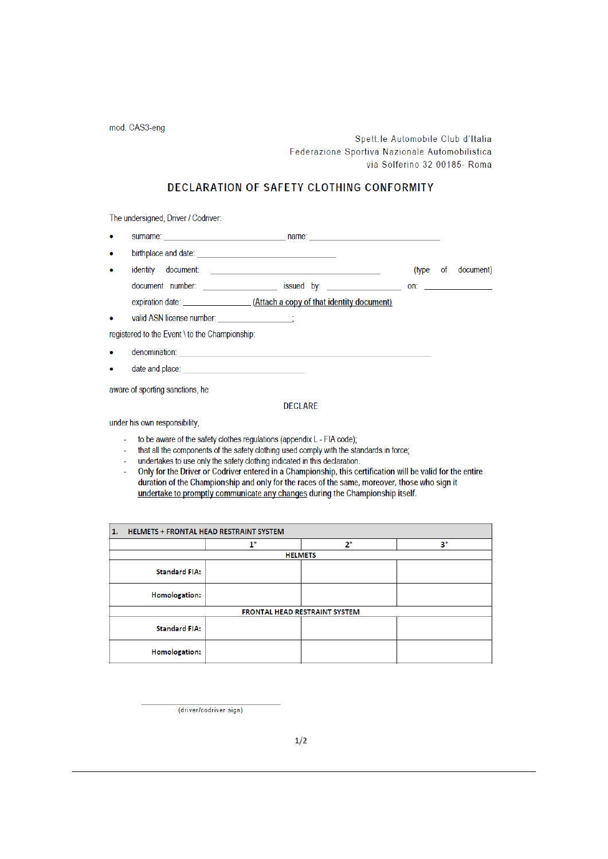mod. CAS3-eng

Spett.le Automobile Club d'Italia Federazione Sportiva Nazionale Automobilistica via Solferino 32 00185- Roma

# DECLARATION OF SAFETY CLOTHING CONFORMITY

The undersigned, Driver / Codriver:

- $\bullet$
- $\bullet$
- identity document: (type of document)
- document number: issued by: in the contract on: in the contract on: in the contract on: in the contract on: in the contract on: in the contract on: in the contract on: in the contract on: in the contract on the contract on
- 

 $\sim$   $\sim$   $\frac{1}{2}$ 

valid ASN license number:

registered to the Event \ to the Championship:

- denomination:  $\bullet$
- date and place:

aware of sporting sanctions, he

#### **DECLARE**

under his own responsibility,

- to be aware of the safety clothes regulations (appendix L FIA code);
- that all the components of the safety clothing used comply with the standards in force;
- undertakes to use only the safety clothing indicated in this declaration.  $\omega$  .
- Only for the Driver or Codriver entered in a Championship, this certification will be valid for the entire ú. duration of the Championship and only for the races of the same, moreover, those who sign it undertake to promptly communicate any changes during the Championship itself.

| 1. | <b>HELMETS + FRONTAL HEAD RESTRAINT SYSTEM</b> |             |             |             |  |
|----|------------------------------------------------|-------------|-------------|-------------|--|
|    |                                                | $1^{\circ}$ | $2^{\circ}$ | $3^{\circ}$ |  |
|    | <b>HELMETS</b>                                 |             |             |             |  |
|    | <b>Standard FIA:</b>                           |             |             |             |  |
|    | <b>Homologation:</b>                           |             |             |             |  |
|    | <b>FRONTAL HEAD RESTRAINT SYSTEM</b>           |             |             |             |  |
|    | <b>Standard FIA:</b>                           |             |             |             |  |
|    | Homologation:                                  |             |             |             |  |

(driver/codriver sign)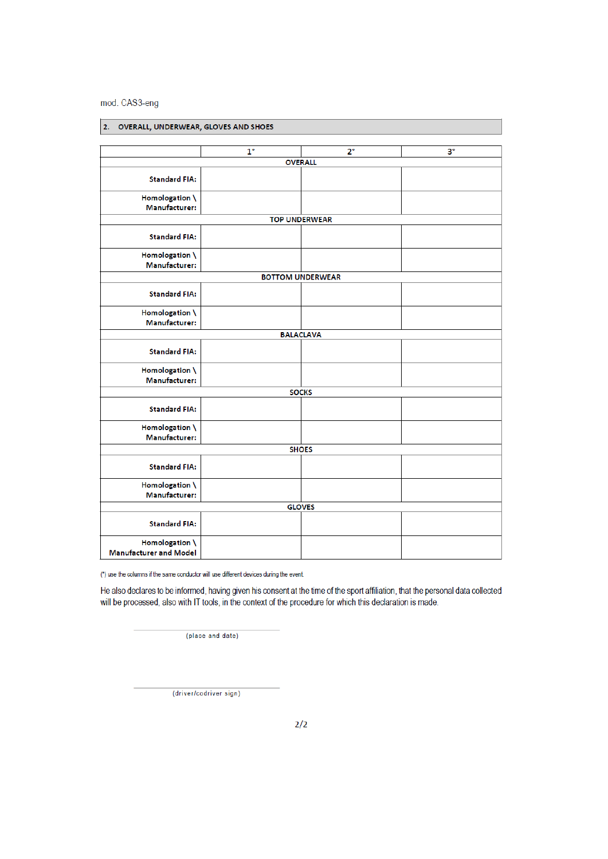mod. CAS3-eng

| OVERALL, UNDERWEAR, GLOVES AND SHOES<br>2.      |                      |                         |             |
|-------------------------------------------------|----------------------|-------------------------|-------------|
|                                                 |                      |                         |             |
|                                                 | $1^{\circ}$          | $2^{\circ}$             | $3^{\circ}$ |
|                                                 | <b>OVERALL</b>       |                         |             |
| <b>Standard FIA:</b>                            |                      |                         |             |
| Homologation \<br>Manufacturer:                 |                      |                         |             |
|                                                 | <b>TOP UNDERWEAR</b> |                         |             |
| <b>Standard FIA:</b>                            |                      |                         |             |
| Homologation \<br>Manufacturer:                 |                      |                         |             |
|                                                 |                      | <b>BOTTOM UNDERWEAR</b> |             |
| <b>Standard FIA:</b>                            |                      |                         |             |
| Homologation \<br>Manufacturer:                 |                      |                         |             |
|                                                 |                      | <b>BALACLAVA</b>        |             |
| <b>Standard FIA:</b>                            |                      |                         |             |
| Homologation \<br>Manufacturer:                 |                      |                         |             |
|                                                 |                      | <b>SOCKS</b>            |             |
| <b>Standard FIA:</b>                            |                      |                         |             |
| Homologation \<br>Manufacturer:                 |                      |                         |             |
|                                                 | <b>SHOES</b>         |                         |             |
| <b>Standard FIA:</b>                            |                      |                         |             |
| Homologation \<br>Manufacturer:                 |                      |                         |             |
|                                                 |                      | <b>GLOVES</b>           |             |
| <b>Standard FIA:</b>                            |                      |                         |             |
| Homologation \<br><b>Manufacturer and Model</b> |                      |                         |             |

(\*) use the columns if the same conductor will use different devices during the event.

He also declares to be informed, having given his consent at the time of the sport affiliation, that the personal data collected will be processed, also with IT tools, in the context of the procedure for which this declaration is made.

(place and date)

(driver/codriver sign)